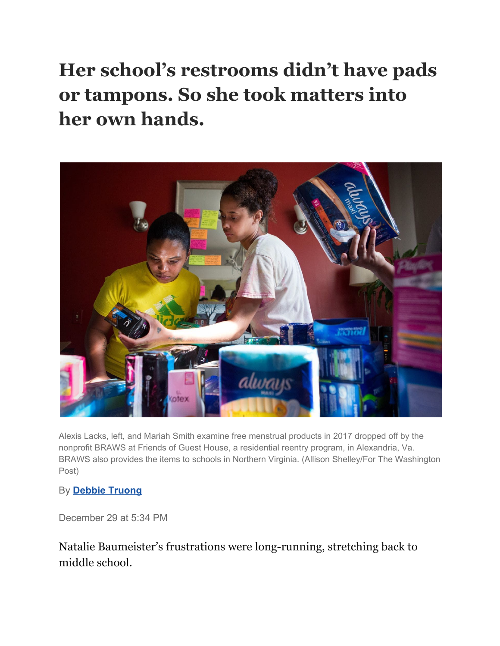**Her school's restrooms didn't have pads or tampons. So she took matters into her own hands.**



Alexis Lacks, left, and Mariah Smith examine free menstrual products in 2017 dropped off by the nonprofit BRAWS at Friends of Guest House, a residential reentry program, in Alexandria, Va. BRAWS also provides the items to schools in Northern Virginia. (Allison Shelley/For The Washington Post)

## By **[Debbie Truong](https://www.washingtonpost.com/people/debbie-truong/)**

December 29 at 5:34 PM

Natalie Baumeister's frustrations were long-running, stretching back to middle school.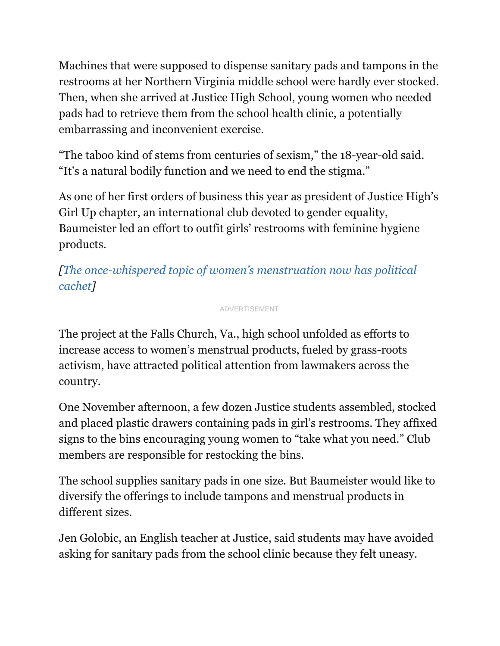Machines that were supposed to dispense sanitary pads and tampons in the restrooms at her Northern Virginia middle school were hardly ever stocked. Then, when she arrived at Justice High School, young women who needed pads had to retrieve them from the school health clinic, a potentially embarrassing and inconvenient exercise.

"The taboo kind of stems from centuries of sexism," the 18-year-old said. "It's a natural bodily function and we need to end the stigma."

As one of her first orders of business this year as president of Justice High's Girl Up chapter, an international club devoted to gender equality, Baumeister led an effort to outfit girls' restrooms with feminine hygiene products.

*[The [once-whispered](https://www.washingtonpost.com/local/social-issues/the-once-whispered-topic-of-womens-menstruation-now-has-political-cachet/2017/08/07/cdeae46e-68a2-11e7-8eb5-cbccc2e7bfbf_story.html?utm_term=.8ae7bc25bd68) topic of women's menstruation now has political [cachet](https://www.washingtonpost.com/local/social-issues/the-once-whispered-topic-of-womens-menstruation-now-has-political-cachet/2017/08/07/cdeae46e-68a2-11e7-8eb5-cbccc2e7bfbf_story.html?utm_term=.8ae7bc25bd68)]*

ADVERTISEMENT

The project at the Falls Church, Va., high school unfolded as efforts to increase access to women's menstrual products, fueled by grass-roots activism, have attracted political attention from lawmakers across the country.

One November afternoon, a few dozen Justice students assembled, stocked and placed plastic drawers containing pads in girl's restrooms. They affixed signs to the bins encouraging young women to "take what you need." Club members are responsible for restocking the bins.

The school supplies sanitary pads in one size. But Baumeister would like to diversify the offerings to include tampons and menstrual products in different sizes.

Jen Golobic, an English teacher at Justice, said students may have avoided asking for sanitary pads from the school clinic because they felt uneasy.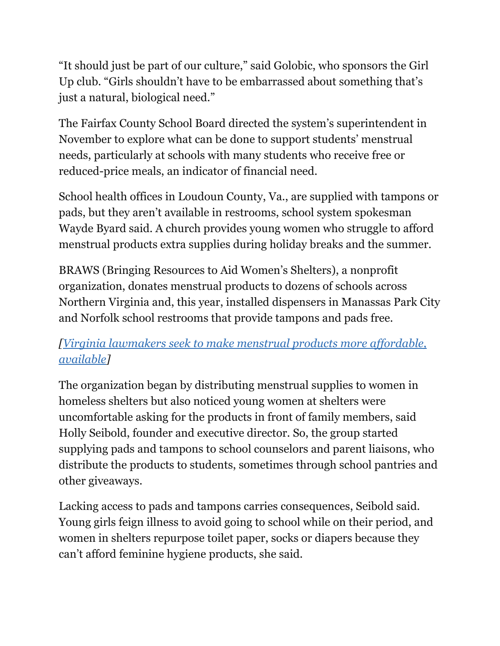"It should just be part of our culture," said Golobic, who sponsors the Girl Up club. "Girls shouldn't have to be embarrassed about something that's just a natural, biological need."

The Fairfax County School Board directed the system's superintendent in November to explore what can be done to support students' menstrual needs, particularly at schools with many students who receive free or reduced-price meals, an indicator of financial need.

School health offices in Loudoun County, Va., are supplied with tampons or pads, but they aren't available in restrooms, school system spokesman Wayde Byard said. A church provides young women who struggle to afford menstrual products extra supplies during holiday breaks and the summer.

BRAWS (Bringing Resources to Aid Women's Shelters), a nonprofit organization, donates menstrual products to dozens of schools across Northern Virginia and, this year, installed dispensers in Manassas Park City and Norfolk school restrooms that provide tampons and pads free.

## *[Virginia [lawmakers](https://www.washingtonpost.com/local/social-issues/virginia-lawmakers-push-to-make-menstrual-products-more-affordable-available/2018/01/22/b60346ee-f7b7-11e7-a9e3-ab18ce41436a_story.html?utm_term=.c276167012ca) seek to make menstrual products more af ordable, [available](https://www.washingtonpost.com/local/social-issues/virginia-lawmakers-push-to-make-menstrual-products-more-affordable-available/2018/01/22/b60346ee-f7b7-11e7-a9e3-ab18ce41436a_story.html?utm_term=.c276167012ca)]*

The organization began by distributing menstrual supplies to women in homeless shelters but also noticed young women at shelters were uncomfortable asking for the products in front of family members, said Holly Seibold, founder and executive director. So, the group started supplying pads and tampons to school counselors and parent liaisons, who distribute the products to students, sometimes through school pantries and other giveaways.

Lacking access to pads and tampons carries consequences, Seibold said. Young girls feign illness to avoid going to school while on their period, and women in shelters repurpose toilet paper, socks or diapers because they can't afford feminine hygiene products, she said.